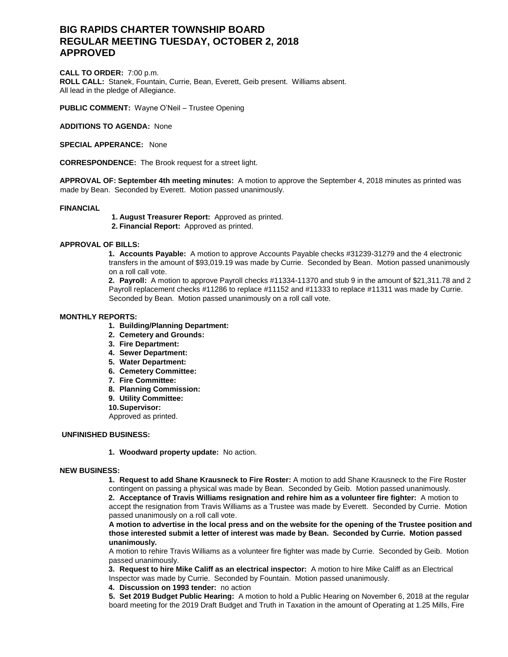# **BIG RAPIDS CHARTER TOWNSHIP BOARD REGULAR MEETING TUESDAY, OCTOBER 2, 2018 APPROVED**

**CALL TO ORDER:** 7:00 p.m. **ROLL CALL:** Stanek, Fountain, Currie, Bean, Everett, Geib present. Williams absent. All lead in the pledge of Allegiance.

**PUBLIC COMMENT:** Wayne O'Neil – Trustee Opening

**ADDITIONS TO AGENDA:** None

**SPECIAL APPERANCE:** None

**CORRESPONDENCE:** The Brook request for a street light.

**APPROVAL OF: September 4th meeting minutes:** A motion to approve the September 4, 2018 minutes as printed was made by Bean. Seconded by Everett. Motion passed unanimously.

## **FINANCIAL**

**1. August Treasurer Report:** Approved as printed.

**2. Financial Report:** Approved as printed.

## **APPROVAL OF BILLS:**

**1. Accounts Payable:** A motion to approve Accounts Payable checks #31239-31279 and the 4 electronic transfers in the amount of \$93,019.19 was made by Currie. Seconded by Bean. Motion passed unanimously on a roll call vote.

**2. Payroll:** A motion to approve Payroll checks #11334-11370 and stub 9 in the amount of \$21,311.78 and 2 Payroll replacement checks #11286 to replace #11152 and #11333 to replace #11311 was made by Currie. Seconded by Bean. Motion passed unanimously on a roll call vote.

## **MONTHLY REPORTS:**

- **1. Building/Planning Department:**
- **2. Cemetery and Grounds:**
- **3. Fire Department:**
- **4. Sewer Department:**
- **5. Water Department:**
- **6. Cemetery Committee:**
- **7. Fire Committee:**
- **8. Planning Commission:**
- **9. Utility Committee:**
- **10.Supervisor:**

Approved as printed.

## **UNFINISHED BUSINESS:**

**1. Woodward property update:** No action.

## **NEW BUSINESS:**

**1. Request to add Shane Krausneck to Fire Roster:** A motion to add Shane Krausneck to the Fire Roster contingent on passing a physical was made by Bean. Seconded by Geib. Motion passed unanimously.

**2. Acceptance of Travis Williams resignation and rehire him as a volunteer fire fighter:** A motion to accept the resignation from Travis Williams as a Trustee was made by Everett. Seconded by Currie. Motion passed unanimously on a roll call vote.

**A motion to advertise in the local press and on the website for the opening of the Trustee position and those interested submit a letter of interest was made by Bean. Seconded by Currie. Motion passed unanimously.**

A motion to rehire Travis Williams as a volunteer fire fighter was made by Currie. Seconded by Geib. Motion passed unanimously.

**3. Request to hire Mike Califf as an electrical inspector:** A motion to hire Mike Califf as an Electrical Inspector was made by Currie. Seconded by Fountain. Motion passed unanimously.

**4. Discussion on 1993 tender:** no action

**5. Set 2019 Budget Public Hearing:** A motion to hold a Public Hearing on November 6, 2018 at the regular board meeting for the 2019 Draft Budget and Truth in Taxation in the amount of Operating at 1.25 Mills, Fire